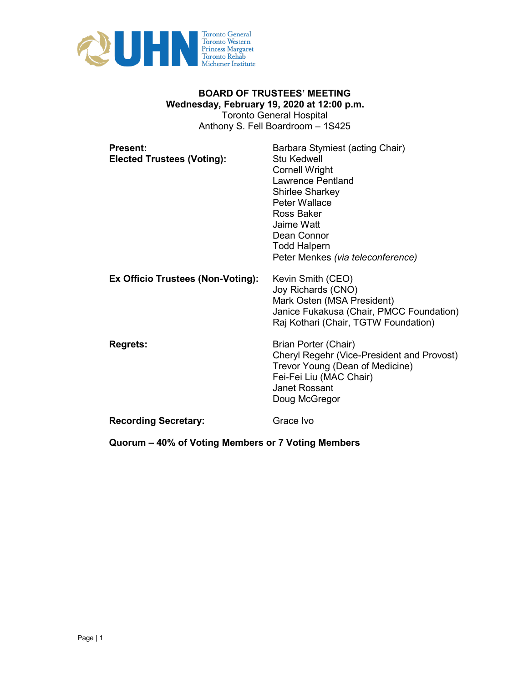

# **BOARD OF TRUSTEES' MEETING Wednesday, February 19, 2020 at 12:00 p.m.**  Toronto General Hospital Anthony S. Fell Boardroom – 1S425

| <b>Present:</b><br><b>Elected Trustees (Voting):</b> | Barbara Stymiest (acting Chair)<br>Stu Kedwell<br><b>Cornell Wright</b><br>Lawrence Pentland<br><b>Shirlee Sharkey</b><br>Peter Wallace<br>Ross Baker<br>Jaime Watt<br>Dean Connor<br><b>Todd Halpern</b><br>Peter Menkes (via teleconference) |
|------------------------------------------------------|------------------------------------------------------------------------------------------------------------------------------------------------------------------------------------------------------------------------------------------------|
| Ex Officio Trustees (Non-Voting):                    | Kevin Smith (CEO)<br>Joy Richards (CNO)<br>Mark Osten (MSA President)<br>Janice Fukakusa (Chair, PMCC Foundation)<br>Raj Kothari (Chair, TGTW Foundation)                                                                                      |
| <b>Regrets:</b>                                      | Brian Porter (Chair)<br>Cheryl Regehr (Vice-President and Provost)<br>Trevor Young (Dean of Medicine)<br>Fei-Fei Liu (MAC Chair)<br>Janet Rossant<br>Doug McGregor                                                                             |
| <b>Recording Secretary:</b>                          | Grace Ivo                                                                                                                                                                                                                                      |

**Quorum – 40% of Voting Members or 7 Voting Members**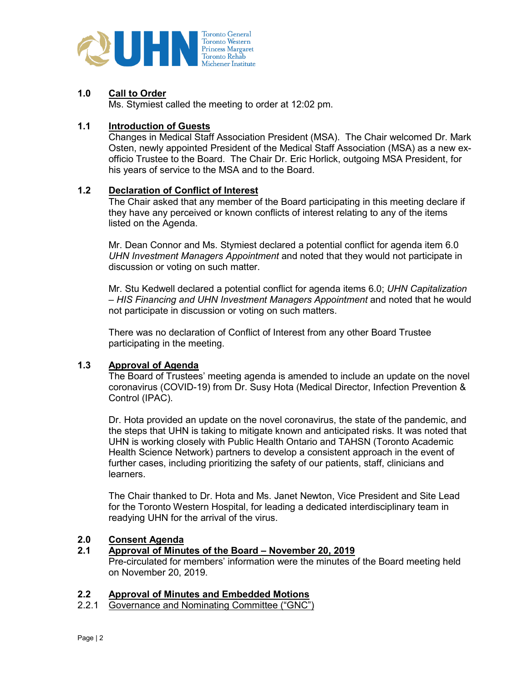

### **1.0 Call to Order**

Ms. Stymiest called the meeting to order at 12:02 pm.

#### **1.1 Introduction of Guests**

Changes in Medical Staff Association President (MSA). The Chair welcomed Dr. Mark Osten, newly appointed President of the Medical Staff Association (MSA) as a new exofficio Trustee to the Board. The Chair Dr. Eric Horlick, outgoing MSA President, for his years of service to the MSA and to the Board.

#### **1.2 Declaration of Conflict of Interest**

The Chair asked that any member of the Board participating in this meeting declare if they have any perceived or known conflicts of interest relating to any of the items listed on the Agenda.

Mr. Dean Connor and Ms. Stymiest declared a potential conflict for agenda item 6.0 *UHN Investment Managers Appointment* and noted that they would not participate in discussion or voting on such matter.

Mr. Stu Kedwell declared a potential conflict for agenda items 6.0; *UHN Capitalization – HIS Financing and UHN Investment Managers Appointment* and noted that he would not participate in discussion or voting on such matters.

There was no declaration of Conflict of Interest from any other Board Trustee participating in the meeting.

# **1.3 Approval of Agenda**

The Board of Trustees' meeting agenda is amended to include an update on the novel coronavirus (COVID-19) from Dr. Susy Hota (Medical Director, Infection Prevention & Control (IPAC).

Dr. Hota provided an update on the novel coronavirus, the state of the pandemic, and the steps that UHN is taking to mitigate known and anticipated risks. It was noted that UHN is working closely with Public Health Ontario and TAHSN (Toronto Academic Health Science Network) partners to develop a consistent approach in the event of further cases, including prioritizing the safety of our patients, staff, clinicians and learners.

The Chair thanked to Dr. Hota and Ms. Janet Newton, Vice President and Site Lead for the Toronto Western Hospital, for leading a dedicated interdisciplinary team in readying UHN for the arrival of the virus.

# **2.0 Consent Agenda**

#### **2.1 Approval of Minutes of the Board – November 20, 2019**

Pre-circulated for members' information were the minutes of the Board meeting held on November 20, 2019.

#### **2.2 Approval of Minutes and Embedded Motions**

2.2.1 Governance and Nominating Committee ("GNC")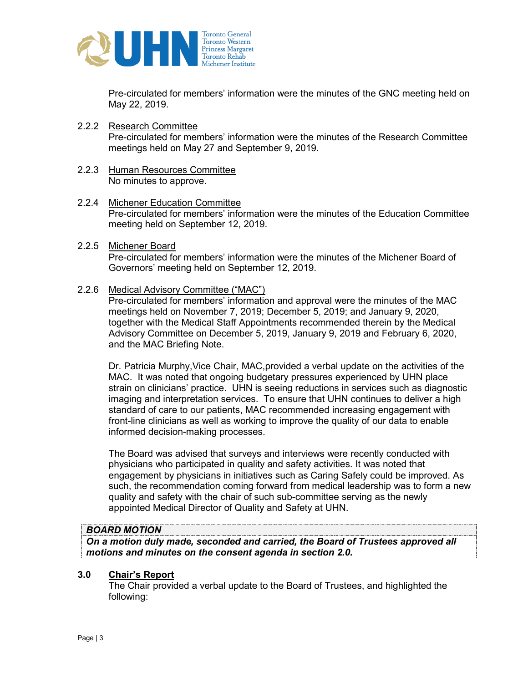

Pre-circulated for members' information were the minutes of the GNC meeting held on May 22, 2019.

- 2.2.2 Research Committee Pre-circulated for members' information were the minutes of the Research Committee meetings held on May 27 and September 9, 2019.
- 2.2.3 Human Resources Committee No minutes to approve.
- 2.2.4 Michener Education Committee Pre-circulated for members' information were the minutes of the Education Committee meeting held on September 12, 2019.
- 2.2.5 Michener Board Pre-circulated for members' information were the minutes of the Michener Board of Governors' meeting held on September 12, 2019.
- 2.2.6 Medical Advisory Committee ("MAC")

Pre-circulated for members' information and approval were the minutes of the MAC meetings held on November 7, 2019; December 5, 2019; and January 9, 2020, together with the Medical Staff Appointments recommended therein by the Medical Advisory Committee on December 5, 2019, January 9, 2019 and February 6, 2020, and the MAC Briefing Note.

Dr. Patricia Murphy,Vice Chair, MAC,provided a verbal update on the activities of the MAC. It was noted that ongoing budgetary pressures experienced by UHN place strain on clinicians' practice. UHN is seeing reductions in services such as diagnostic imaging and interpretation services. To ensure that UHN continues to deliver a high standard of care to our patients, MAC recommended increasing engagement with front-line clinicians as well as working to improve the quality of our data to enable informed decision-making processes.

The Board was advised that surveys and interviews were recently conducted with physicians who participated in quality and safety activities. It was noted that engagement by physicians in initiatives such as Caring Safely could be improved. As such, the recommendation coming forward from medical leadership was to form a new quality and safety with the chair of such sub-committee serving as the newly appointed Medical Director of Quality and Safety at UHN.

#### *BOARD MOTION*

*On a motion duly made, seconded and carried, the Board of Trustees approved all motions and minutes on the consent agenda in section 2.0.* 

#### **3.0 Chair's Report**

The Chair provided a verbal update to the Board of Trustees, and highlighted the following: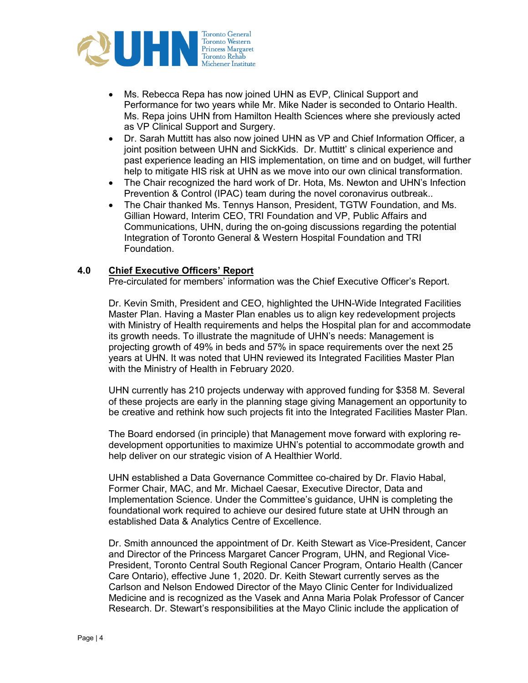

- Ms. Rebecca Repa has now joined UHN as EVP, Clinical Support and Performance for two years while Mr. Mike Nader is seconded to Ontario Health. Ms. Repa joins UHN from Hamilton Health Sciences where she previously acted as VP Clinical Support and Surgery.
- Dr. Sarah Muttitt has also now joined UHN as VP and Chief Information Officer, a joint position between UHN and SickKids. Dr. Muttitt' s clinical experience and past experience leading an HIS implementation, on time and on budget, will further help to mitigate HIS risk at UHN as we move into our own clinical transformation.
- The Chair recognized the hard work of Dr. Hota, Ms. Newton and UHN's Infection Prevention & Control (IPAC) team during the novel coronavirus outbreak..
- The Chair thanked Ms. Tennys Hanson, President, TGTW Foundation, and Ms. Gillian Howard, Interim CEO, TRI Foundation and VP, Public Affairs and Communications, UHN, during the on-going discussions regarding the potential Integration of Toronto General & Western Hospital Foundation and TRI Foundation.

#### **4.0 Chief Executive Officers' Report**

Pre-circulated for members' information was the Chief Executive Officer's Report.

Dr. Kevin Smith, President and CEO, highlighted the UHN-Wide Integrated Facilities Master Plan. Having a Master Plan enables us to align key redevelopment projects with Ministry of Health requirements and helps the Hospital plan for and accommodate its growth needs. To illustrate the magnitude of UHN's needs: Management is projecting growth of 49% in beds and 57% in space requirements over the next 25 years at UHN. It was noted that UHN reviewed its Integrated Facilities Master Plan with the Ministry of Health in February 2020.

UHN currently has 210 projects underway with approved funding for \$358 M. Several of these projects are early in the planning stage giving Management an opportunity to be creative and rethink how such projects fit into the Integrated Facilities Master Plan.

The Board endorsed (in principle) that Management move forward with exploring redevelopment opportunities to maximize UHN's potential to accommodate growth and help deliver on our strategic vision of A Healthier World.

UHN established a Data Governance Committee co-chaired by Dr. Flavio Habal, Former Chair, MAC, and Mr. Michael Caesar, Executive Director, Data and Implementation Science. Under the Committee's guidance, UHN is completing the foundational work required to achieve our desired future state at UHN through an established Data & Analytics Centre of Excellence.

Dr. Smith announced the appointment of Dr. Keith Stewart as Vice-President, Cancer and Director of the Princess Margaret Cancer Program, UHN, and Regional Vice-President, Toronto Central South Regional Cancer Program, Ontario Health (Cancer Care Ontario), effective June 1, 2020. Dr. Keith Stewart currently serves as the Carlson and Nelson Endowed Director of the Mayo Clinic Center for Individualized Medicine and is recognized as the Vasek and Anna Maria Polak Professor of Cancer Research. Dr. Stewart's responsibilities at the Mayo Clinic include the application of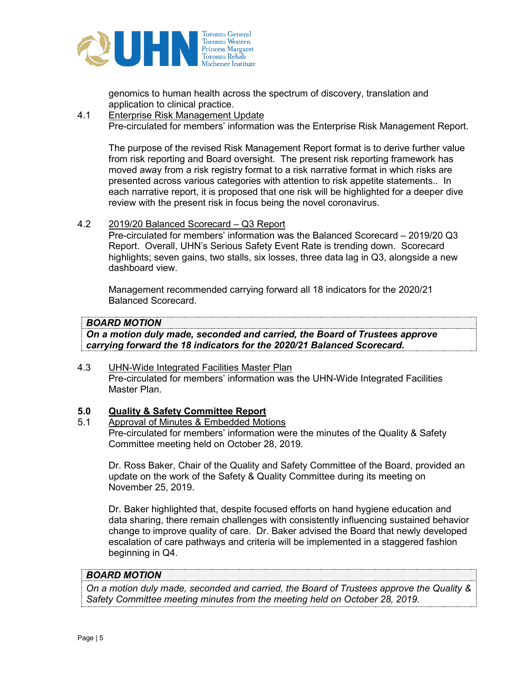

genomics to human health across the spectrum of discovery, translation and application to clinical practice.

4.1 Enterprise Risk Management Update Pre-circulated for members' information was the Enterprise Risk Management Report.

The purpose of the revised Risk Management Report format is to derive further value from risk reporting and Board oversight. The present risk reporting framework has moved away from a risk registry format to a risk narrative format in which risks are presented across various categories with attention to risk appetite statements.. In each narrative report, it is proposed that one risk will be highlighted for a deeper dive review with the present risk in focus being the novel coronavirus.

4.2 2019/20 Balanced Scorecard – Q3 Report

Pre-circulated for members' information was the Balanced Scorecard – 2019/20 Q3 Report. Overall, UHN's Serious Safety Event Rate is trending down. Scorecard highlights; seven gains, two stalls, six losses, three data lag in Q3, alongside a new dashboard view.

Management recommended carrying forward all 18 indicators for the 2020/21 Balanced Scorecard.

# *BOARD MOTION*

*On a motion duly made, seconded and carried, the Board of Trustees approve carrying forward the 18 indicators for the 2020/21 Balanced Scorecard.* 

4.3 UHN-Wide Integrated Facilities Master Plan Pre-circulated for members' information was the UHN-Wide Integrated Facilities Master Plan.

# **5.0 Quality & Safety Committee Report**

5.1 Approval of Minutes & Embedded Motions Pre-circulated for members' information were the minutes of the Quality & Safety Committee meeting held on October 28, 2019.

Dr. Ross Baker, Chair of the Quality and Safety Committee of the Board, provided an update on the work of the Safety & Quality Committee during its meeting on November 25, 2019.

Dr. Baker highlighted that, despite focused efforts on hand hygiene education and data sharing, there remain challenges with consistently influencing sustained behavior change to improve quality of care. Dr. Baker advised the Board that newly developed escalation of care pathways and criteria will be implemented in a staggered fashion beginning in Q4.

#### *BOARD MOTION*

*On a motion duly made, seconded and carried, the Board of Trustees approve the Quality & Safety Committee meeting minutes from the meeting held on October 28, 2019.*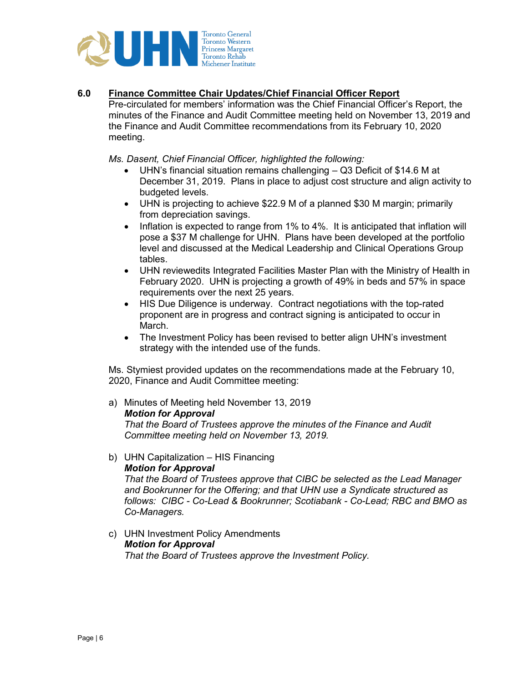

### **6.0 Finance Committee Chair Updates/Chief Financial Officer Report**

Pre-circulated for members' information was the Chief Financial Officer's Report, the minutes of the Finance and Audit Committee meeting held on November 13, 2019 and the Finance and Audit Committee recommendations from its February 10, 2020 meeting.

*Ms. Dasent, Chief Financial Officer, highlighted the following:* 

- UHN's financial situation remains challenging Q3 Deficit of \$14.6 M at December 31, 2019. Plans in place to adjust cost structure and align activity to budgeted levels.
- UHN is projecting to achieve \$22.9 M of a planned \$30 M margin; primarily from depreciation savings.
- Inflation is expected to range from 1% to 4%. It is anticipated that inflation will pose a \$37 M challenge for UHN. Plans have been developed at the portfolio level and discussed at the Medical Leadership and Clinical Operations Group tables.
- UHN reviewedits Integrated Facilities Master Plan with the Ministry of Health in February 2020. UHN is projecting a growth of 49% in beds and 57% in space requirements over the next 25 years.
- HIS Due Diligence is underway. Contract negotiations with the top-rated proponent are in progress and contract signing is anticipated to occur in March.
- The Investment Policy has been revised to better align UHN's investment strategy with the intended use of the funds.

Ms. Stymiest provided updates on the recommendations made at the February 10, 2020, Finance and Audit Committee meeting:

a) Minutes of Meeting held November 13, 2019 *Motion for Approval* 

*That the Board of Trustees approve the minutes of the Finance and Audit Committee meeting held on November 13, 2019.* 

b) UHN Capitalization – HIS Financing

#### *Motion for Approval*

*That the Board of Trustees approve that CIBC be selected as the Lead Manager and Bookrunner for the Offering; and that UHN use a Syndicate structured as follows: CIBC - Co-Lead & Bookrunner; Scotiabank - Co-Lead; RBC and BMO as Co-Managers.* 

c) UHN Investment Policy Amendments *Motion for Approval That the Board of Trustees approve the Investment Policy.*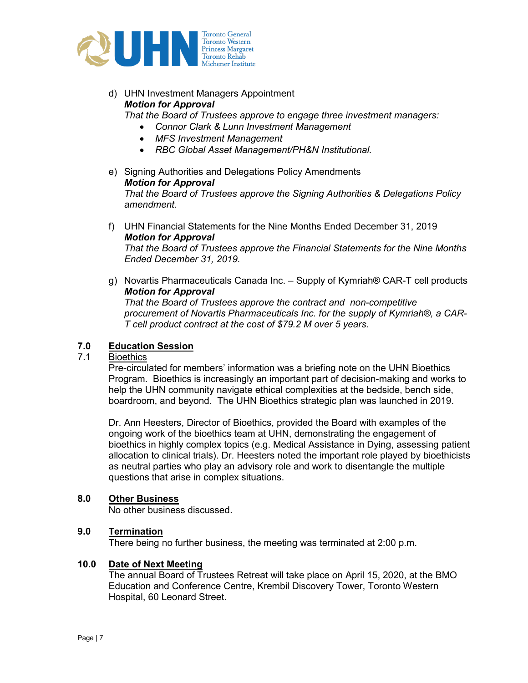

# d) UHN Investment Managers Appointment *Motion for Approval*

*That the Board of Trustees approve to engage three investment managers:* 

- *Connor Clark & Lunn Investment Management*
- *MFS Investment Management*
- *RBC Global Asset Management/PH&N Institutional.*
- e) Signing Authorities and Delegations Policy Amendments *Motion for Approval That the Board of Trustees approve the Signing Authorities & Delegations Policy amendment.*
- f) UHN Financial Statements for the Nine Months Ended December 31, 2019 *Motion for Approval That the Board of Trustees approve the Financial Statements for the Nine Months Ended December 31, 2019.*
- g) Novartis Pharmaceuticals Canada Inc. Supply of Kymriah® CAR-T cell products *Motion for Approval That the Board of Trustees approve the contract and non-competitive*

*procurement of Novartis Pharmaceuticals Inc. for the supply of Kymriah®, a CAR-T cell product contract at the cost of \$79.2 M over 5 years.* 

# **7.0 Education Session**

# **Bioethics**

Pre-circulated for members' information was a briefing note on the UHN Bioethics Program. Bioethics is increasingly an important part of decision-making and works to help the UHN community navigate ethical complexities at the bedside, bench side, boardroom, and beyond. The UHN Bioethics strategic plan was launched in 2019.

Dr. Ann Heesters, Director of Bioethics, provided the Board with examples of the ongoing work of the bioethics team at UHN, demonstrating the engagement of bioethics in highly complex topics (e.g. Medical Assistance in Dying, assessing patient allocation to clinical trials). Dr. Heesters noted the important role played by bioethicists as neutral parties who play an advisory role and work to disentangle the multiple questions that arise in complex situations.

# **8.0 Other Business**

No other business discussed.

# **9.0 Termination**

There being no further business, the meeting was terminated at 2:00 p.m.

# **10.0 Date of Next Meeting**

The annual Board of Trustees Retreat will take place on April 15, 2020, at the BMO Education and Conference Centre, Krembil Discovery Tower, Toronto Western Hospital, 60 Leonard Street.